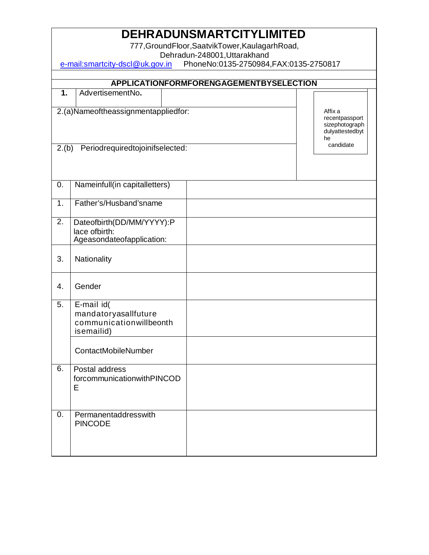| <b>DEHRADUNSMARTCITYLIMITED</b>                                                   |                                                                             |  |                                                                      |  |  |  |  |  |
|-----------------------------------------------------------------------------------|-----------------------------------------------------------------------------|--|----------------------------------------------------------------------|--|--|--|--|--|
| 777, Ground Floor, Saatvik Tower, Kaulagarh Road,<br>Dehradun-248001, Uttarakhand |                                                                             |  |                                                                      |  |  |  |  |  |
| PhoneNo:0135-2750984, FAX:0135-2750817<br>e-mail:smartcity-dscl@uk.gov.in         |                                                                             |  |                                                                      |  |  |  |  |  |
|                                                                                   | <b>APPLICATIONFORMFORENGAGEMENTBYSELECTION</b>                              |  |                                                                      |  |  |  |  |  |
| $\mathbf{1}$ .                                                                    | AdvertisementNo.                                                            |  |                                                                      |  |  |  |  |  |
|                                                                                   |                                                                             |  |                                                                      |  |  |  |  |  |
|                                                                                   | 2.(a)Nameoftheassignmentappliedfor:                                         |  | Affix a<br>recentpassport<br>sizephotograph<br>dulyattestedbyt<br>he |  |  |  |  |  |
| 2.(b)                                                                             | Periodrequiredtojoinifselected:                                             |  | candidate                                                            |  |  |  |  |  |
|                                                                                   |                                                                             |  |                                                                      |  |  |  |  |  |
| 0.                                                                                | Nameinfull(in capitalletters)                                               |  |                                                                      |  |  |  |  |  |
| 1.                                                                                | Father's/Husband'sname                                                      |  |                                                                      |  |  |  |  |  |
| $\overline{2}$ .                                                                  | Dateofbirth(DD/MM/YYYY):P<br>lace ofbirth:<br>Ageasondateofapplication:     |  |                                                                      |  |  |  |  |  |
| 3.                                                                                | Nationality                                                                 |  |                                                                      |  |  |  |  |  |
| 4.                                                                                | Gender                                                                      |  |                                                                      |  |  |  |  |  |
| 5.                                                                                | E-mail id(<br>mandatoryasallfuture<br>communicationwillbeonth<br>isemailid) |  |                                                                      |  |  |  |  |  |
|                                                                                   | ContactMobileNumber                                                         |  |                                                                      |  |  |  |  |  |
| 6.                                                                                | Postal address<br>forcommunicationwithPINCOD<br>E                           |  |                                                                      |  |  |  |  |  |
| 0.                                                                                | Permanentaddresswith<br><b>PINCODE</b>                                      |  |                                                                      |  |  |  |  |  |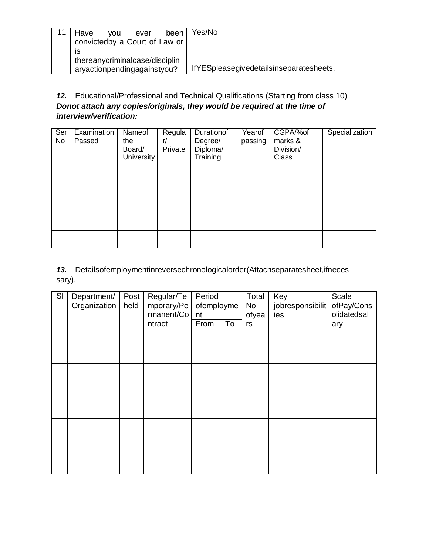| been<br>Have<br>ever<br><b>VOU</b><br>convictedby a Court of Law or | Yes/No                                  |
|---------------------------------------------------------------------|-----------------------------------------|
| IS<br>thereanycriminalcase/disciplin<br>aryactionpendingagainstyou? | IfYESpleasegivedetailsinseparatesheets. |

12. Educational/Professional and Technical Qualifications (Starting from class 10) Donot attach any copies/originals, they would be required at the time of interview/verification:

| Ser<br><b>No</b> | Examination<br>Passed | Nameof<br>the<br>Board/<br>University | Regula<br>r/<br>Private | Durationof<br>Degree/<br>Diploma/<br>Training | Yearof<br>passing | CGPA/%of<br>marks &<br>Division/<br><b>Class</b> | Specialization |
|------------------|-----------------------|---------------------------------------|-------------------------|-----------------------------------------------|-------------------|--------------------------------------------------|----------------|
|                  |                       |                                       |                         |                                               |                   |                                                  |                |
|                  |                       |                                       |                         |                                               |                   |                                                  |                |
|                  |                       |                                       |                         |                                               |                   |                                                  |                |
|                  |                       |                                       |                         |                                               |                   |                                                  |                |
|                  |                       |                                       |                         |                                               |                   |                                                  |                |

13. Detailsofemploymentinreversechronologicalorder(Attachseparatesheet, ifneces sary).

| SI | Department/<br>Organization | Post<br>held | Regular/Te<br>mporary/Pe<br>rmanent/Co | Period<br>ofemployme<br>nt |    | Total<br>No<br>ofyea | Key<br>jobresponsibilit<br>ies | Scale<br>ofPay/Cons<br>olidatedsal |
|----|-----------------------------|--------------|----------------------------------------|----------------------------|----|----------------------|--------------------------------|------------------------------------|
|    |                             |              | ntract                                 | From                       | To | rs                   |                                | ary                                |
|    |                             |              |                                        |                            |    |                      |                                |                                    |
|    |                             |              |                                        |                            |    |                      |                                |                                    |
|    |                             |              |                                        |                            |    |                      |                                |                                    |
|    |                             |              |                                        |                            |    |                      |                                |                                    |
|    |                             |              |                                        |                            |    |                      |                                |                                    |
|    |                             |              |                                        |                            |    |                      |                                |                                    |
|    |                             |              |                                        |                            |    |                      |                                |                                    |
|    |                             |              |                                        |                            |    |                      |                                |                                    |
|    |                             |              |                                        |                            |    |                      |                                |                                    |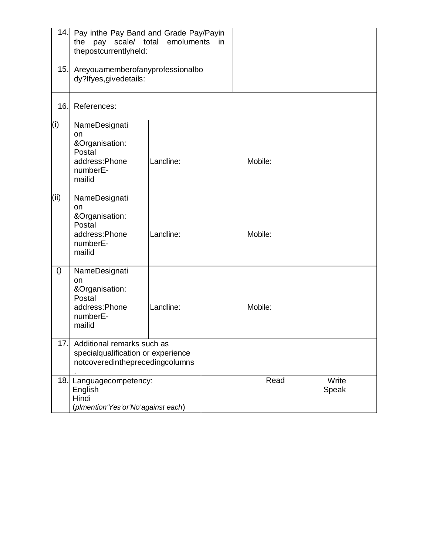|                  | 14. Pay inthe Pay Band and Grade Pay/Payin<br>the pay scale/ total emoluments in<br>thepostcurrentlyheld: |           |      |                |  |  |  |
|------------------|-----------------------------------------------------------------------------------------------------------|-----------|------|----------------|--|--|--|
| 15.              | Areyouamemberofanyprofessionalbo<br>dy?lfyes, givedetails:                                                |           |      |                |  |  |  |
| 16.              | References:                                                                                               |           |      |                |  |  |  |
| (i)              | NameDesignati<br><b>on</b><br>&Organisation:<br>Postal<br>address:Phone<br>numberE-<br>mailid             | Landline: |      | Mobile:        |  |  |  |
| (i)              | NameDesignati<br>on<br>&Organisation:<br>Postal<br>address:Phone<br>numberE-<br>mailid                    | Landline: |      | Mobile:        |  |  |  |
| $\left( \right)$ | NameDesignati<br>on<br>&Organisation:<br>Postal<br>address:Phone<br>numberE-<br>mailid                    | Landline: |      | Mobile:        |  |  |  |
| 17.1             | Additional remarks such as<br>specialqualification or experience<br>notcoveredintheprecedingcolumns       |           |      |                |  |  |  |
|                  | 18. Languagecompetency:<br>English<br>Hindi<br>(plmention'Yes'or'No'against each)                         |           | Read | Write<br>Speak |  |  |  |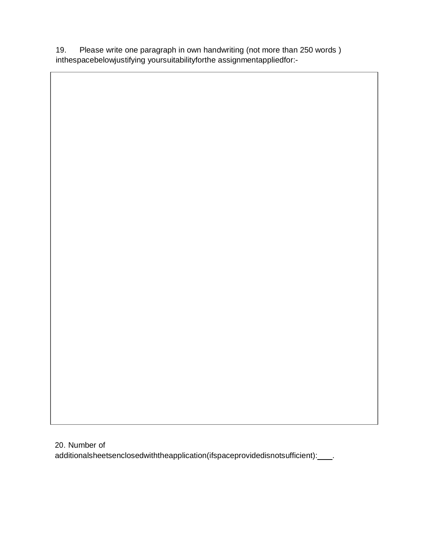19. Please write one paragraph in own handwriting (not more than 250 words) inthespacebelowjustifying yoursuitabilityforthe assignmentappliedfor:-

20. Number of additionalsheetsenclosedwiththeapplication(ifspaceprovidedisnotsufficient):